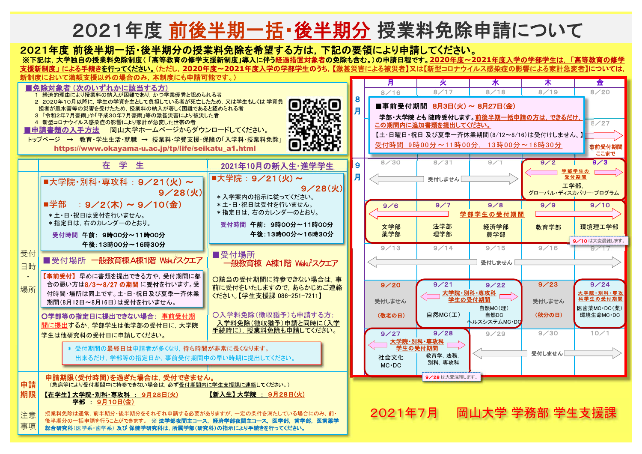## 2021年度 前後半期一括・後半期分 授業料免除申請について

## 2021年度 前後半期一括・後半期分の授業料免除を希望する方は,下記の要領により申請してください。

後半期分の一括申請を行うことができます。 ※ 法学部夜間主コース, 経済学部夜間主コース, 医学部, 歯学部, 医歯薬学

総合研究科(医学系・歯学系) 及び 保健学研究科は, 所属学部(研究科)の指示により手続きを行ってください。

事項

※下記は,大学独自の授業料免除制度( 「高等教育の修学支援新制度」導入に伴う経過措置対象者の免除も含む。)の申請日程です。**2020**年度~**2021**年度入学の学部学生は, 「高等教育の修学 支援新制度」 による手続きを行ってください。(ただし,**2020**年度~**2021**年度入学の学部学生のうち,【激甚災害による被災者】又は【新型コロナウイルス感染症の影響による家計急変者】については,